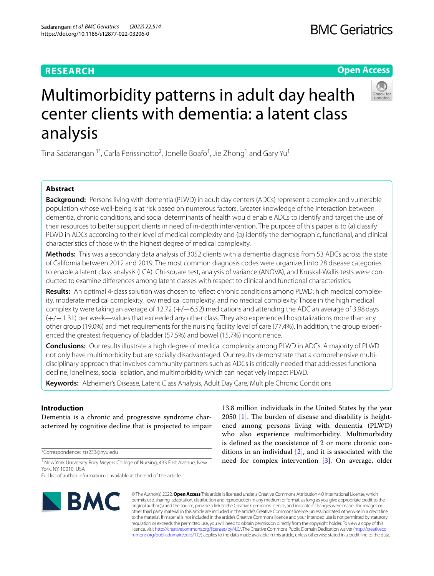# **RESEARCH**

# **Open Access**



# Multimorbidity patterns in adult day health center clients with dementia: a latent class analysis

Tina Sadarangani $^{\text{1*}}$ , Carla Perissinotto<sup>2</sup>, Jonelle Boafo<sup>1</sup>, Jie Zhong<sup>1</sup> and Gary Yu<sup>1</sup>

# **Abstract**

**Background:** Persons living with dementia (PLWD) in adult day centers (ADCs) represent a complex and vulnerable population whose well-being is at risk based on numerous factors. Greater knowledge of the interaction between dementia, chronic conditions, and social determinants of health would enable ADCs to identify and target the use of their resources to better support clients in need of in-depth intervention. The purpose of this paper is to (a) classify PLWD in ADCs according to their level of medical complexity and (b) identify the demographic, functional, and clinical characteristics of those with the highest degree of medical complexity.

**Methods:** This was a secondary data analysis of 3052 clients with a dementia diagnosis from 53 ADCs across the state of California between 2012 and 2019. The most common diagnosis codes were organized into 28 disease categories to enable a latent class analysis (LCA). Chi-square test, analysis of variance (ANOVA), and Kruskal-Wallis tests were conducted to examine diferences among latent classes with respect to clinical and functional characteristics.

**Results:** An optimal 4-class solution was chosen to refect chronic conditions among PLWD: high medical complexity, moderate medical complexity, low medical complexity, and no medical complexity. Those in the high medical complexity were taking an average of 12.72 (+/−6.52) medications and attending the ADC an average of 3.98days (+/−1.31) per week—values that exceeded any other class. They also experienced hospitalizations more than any other group (19.0%) and met requirements for the nursing facility level of care (77.4%). In addition, the group experienced the greatest frequency of bladder (57.5%) and bowel (15.7%) incontinence.

**Conclusions:** Our results illustrate a high degree of medical complexity among PLWD in ADCs. A majority of PLWD not only have multimorbidity but are socially disadvantaged. Our results demonstrate that a comprehensive multidisciplinary approach that involves community partners such as ADCs is critically needed that addresses functional decline, loneliness, social isolation, and multimorbidity which can negatively impact PLWD.

**Keywords:** Alzheimer's Disease, Latent Class Analysis, Adult Day Care, Multiple Chronic Conditions

# **Introduction**

Dementia is a chronic and progressive syndrome characterized by cognitive decline that is projected to impair

\*Correspondence: trs233@nyu.edu

<sup>1</sup> New York University Rory Meyers College of Nursing, 433 First Avenue, New York, NY 10010, USA

Full list of author information is available at the end of the article



13.8 million individuals in the United States by the year  $2050$  [\[1\]](#page-8-0). The burden of disease and disability is heightened among persons living with dementia (PLWD) who also experience multimorbidity. Multimorbidity is defned as the coexistence of 2 or more chronic conditions in an individual [[2\]](#page-9-0), and it is associated with the need for complex intervention [\[3](#page-9-1)]. On average, older

© The Author(s) 2022. **Open Access** This article is licensed under a Creative Commons Attribution 4.0 International License, which permits use, sharing, adaptation, distribution and reproduction in any medium or format, as long as you give appropriate credit to the original author(s) and the source, provide a link to the Creative Commons licence, and indicate if changes were made. The images or other third party material in this article are included in the article's Creative Commons licence, unless indicated otherwise in a credit line to the material. If material is not included in the article's Creative Commons licence and your intended use is not permitted by statutory regulation or exceeds the permitted use, you will need to obtain permission directly from the copyright holder. To view a copy of this licence, visit [http://creativecommons.org/licenses/by/4.0/.](http://creativecommons.org/licenses/by/4.0/) The Creative Commons Public Domain Dedication waiver ([http://creativeco](http://creativecommons.org/publicdomain/zero/1.0/) [mmons.org/publicdomain/zero/1.0/](http://creativecommons.org/publicdomain/zero/1.0/)) applies to the data made available in this article, unless otherwise stated in a credit line to the data.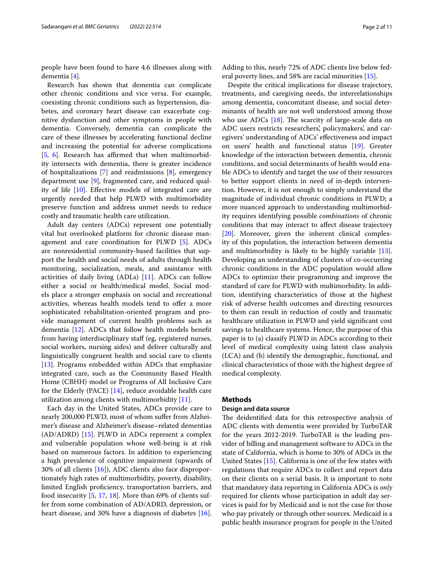people have been found to have 4.6 illnesses along with dementia [\[4](#page-9-2)].

Research has shown that dementia can complicate other chronic conditions and vice versa. For example, coexisting chronic conditions such as hypertension, diabetes, and coronary heart disease can exacerbate cognitive dysfunction and other symptoms in people with dementia. Conversely, dementia can complicate the care of these illnesses by accelerating functional decline and increasing the potential for adverse complications [[5,](#page-9-3) [6\]](#page-9-4). Research has affirmed that when multimorbidity intersects with dementia, there is greater incidence of hospitalizations [\[7](#page-9-5)] and readmissions [[8\]](#page-9-6), emergency department use [\[9\]](#page-9-7), fragmented care, and reduced quality of life [\[10](#page-9-8)]. Efective models of integrated care are urgently needed that help PLWD with multimorbidity preserve function and address unmet needs to reduce costly and traumatic health care utilization.

Adult day centers (ADCs) represent one potentially vital but overlooked platform for chronic disease management and care coordination for PLWD [\[5\]](#page-9-3). ADCs are nonresidential community-based facilities that support the health and social needs of adults through health monitoring, socialization, meals, and assistance with activities of daily living (ADLs) [[11\]](#page-9-9). ADCs can follow either a social or health/medical model. Social models place a stronger emphasis on social and recreational activities, whereas health models tend to offer a more sophisticated rehabilitation-oriented program and provide management of current health problems such as dementia [[12\]](#page-9-10). ADCs that follow health models beneft from having interdisciplinary staf (eg, registered nurses, social workers, nursing aides) and deliver culturally and linguistically congruent health and social care to clients [[13\]](#page-9-11). Programs embedded within ADCs that emphasize integrated care, such as the Community Based Health Home (CBHH) model or Programs of All Inclusive Care for the Elderly (PACE) [\[14\]](#page-9-12), reduce avoidable health care utilization among clients with multimorbidity [[11](#page-9-9)].

Each day in the United States, ADCs provide care to nearly 200,000 PLWD, most of whom sufer from Alzheimer's disease and Alzheimer's disease–related dementias (AD/ADRD) [\[15](#page-9-13)]. PLWD in ADCs represent a complex and vulnerable population whose well-being is at risk based on numerous factors. In addition to experiencing a high prevalence of cognitive impairment (upwards of 30% of all clients [\[16\]](#page-9-14)), ADC clients also face disproportionately high rates of multimorbidity, poverty, disability, limited English profciency, transportation barriers, and food insecurity [[5,](#page-9-3) [17,](#page-9-15) [18\]](#page-9-16). More than 69% of clients suffer from some combination of AD/ADRD, depression, or heart disease, and 30% have a diagnosis of diabetes [\[16](#page-9-14)]. Adding to this, nearly 72% of ADC clients live below federal poverty lines, and 58% are racial minorities [\[15\]](#page-9-13).

Despite the critical implications for disease trajectory, treatments, and caregiving needs, the interrelationships among dementia, concomitant disease, and social determinants of health are not well understood among those who use ADCs  $[18]$ . The scarcity of large-scale data on ADC users restricts researchers', policymakers', and caregivers' understanding of ADCs' efectiveness and impact on users' health and functional status [[19\]](#page-9-17). Greater knowledge of the interaction between dementia, chronic conditions, and social determinants of health would enable ADCs to identify and target the use of their resources to better support clients in need of in-depth intervention. However, it is not enough to simply understand the magnitude of individual chronic conditions in PLWD; a more nuanced approach to understanding multimorbidity requires identifying possible *combinations* of chronic conditions that may interact to afect disease trajectory [[20\]](#page-9-18). Moreover, given the inherent clinical complexity of this population, the interaction between dementia and multimorbidity is likely to be highly variable [\[13](#page-9-11)]. Developing an understanding of clusters of co-occurring chronic conditions in the ADC population would allow ADCs to optimize their programming and improve the standard of care for PLWD with multimorbidity. In addition, identifying characteristics of those at the highest risk of adverse health outcomes and directing resources to them can result in reduction of costly and traumatic healthcare utilization in PLWD and yield signifcant cost savings to healthcare systems. Hence, the purpose of this paper is to (a) classify PLWD in ADCs according to their level of medical complexity using latent class analysis (LCA) and (b) identify the demographic, functional, and clinical characteristics of those with the highest degree of medical complexity.

## **Methods**

## **Design and data source**

The deidentified data for this retrospective analysis of ADC clients with dementia were provided by TurboTAR for the years 2012-2019. TurboTAR is the leading provider of billing and management software to ADCs in the state of California, which is home to 30% of ADCs in the United States [\[15\]](#page-9-13). California is one of the few states with regulations that require ADCs to collect and report data on their clients on a serial basis. It is important to note that mandatory data reporting in California ADCs is *only* required for clients whose participation in adult day services is paid for by Medicaid and is not the case for those who pay privately or through other sources. Medicaid is a public health insurance program for people in the United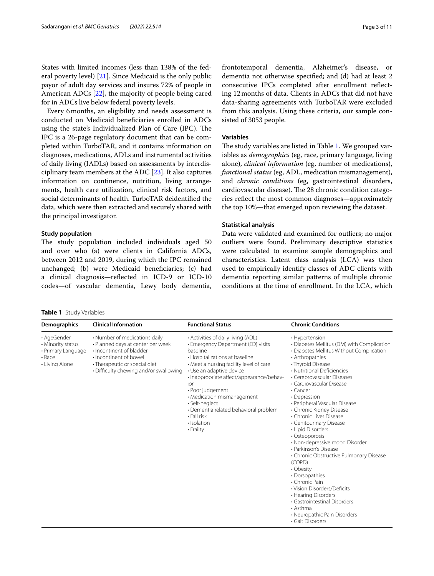States with limited incomes (less than 138% of the federal poverty level) [\[21](#page-9-19)]. Since Medicaid is the only public payor of adult day services and insures 72% of people in American ADCs [[22\]](#page-9-20), the majority of people being cared for in ADCs live below federal poverty levels.

Every 6months, an eligibility and needs assessment is conducted on Medicaid benefciaries enrolled in ADCs using the state's Individualized Plan of Care (IPC). The IPC is a 26-page regulatory document that can be completed within TurboTAR, and it contains information on diagnoses, medications, ADLs and instrumental activities of daily living (IADLs) based on assessments by interdisciplinary team members at the ADC [[23\]](#page-9-21). It also captures information on continence, nutrition, living arrangements, health care utilization, clinical risk factors, and social determinants of health. TurboTAR deidentifed the data, which were then extracted and securely shared with the principal investigator.

#### **Study population**

The study population included individuals aged 50 and over who (a) were clients in California ADCs, between 2012 and 2019, during which the IPC remained unchanged; (b) were Medicaid benefciaries; (c) had a clinical diagnosis—refected in ICD-9 or ICD-10 codes—of vascular dementia, Lewy body dementia, frontotemporal dementia, Alzheimer's disease, or dementia not otherwise specifed; and (d) had at least 2 consecutive IPCs completed after enrollment refecting 12months of data. Clients in ADCs that did not have data-sharing agreements with TurboTAR were excluded from this analysis. Using these criteria, our sample con-

#### **Variables**

sisted of 3053 people.

The study variables are listed in Table [1.](#page-2-0) We grouped variables as *demographics* (eg, race, primary language, living alone), *clinical information* (eg, number of medications), *functional status* (eg, ADL, medication mismanagement), and *chronic conditions* (eg, gastrointestinal disorders, cardiovascular disease). The 28 chronic condition categories refect the most common diagnoses—approximately the top 10%—that emerged upon reviewing the dataset.

#### **Statistical analysis**

Data were validated and examined for outliers; no major outliers were found. Preliminary descriptive statistics were calculated to examine sample demographics and characteristics. Latent class analysis (LCA) was then used to empirically identify classes of ADC clients with dementia reporting similar patterns of multiple chronic conditions at the time of enrollment. In the LCA, which

<span id="page-2-0"></span>**Table 1** Study Variables

| <b>Demographics</b>                                                                | <b>Clinical Information</b>                                                                                                                                                                         | <b>Functional Status</b>                                                                                                                                                                                                                                                                                                                                                                                 | <b>Chronic Conditions</b>                                                                                                                                                                                                                                                                                                                                                                                                                                                                                                                                                                                                                                                                                                                                         |
|------------------------------------------------------------------------------------|-----------------------------------------------------------------------------------------------------------------------------------------------------------------------------------------------------|----------------------------------------------------------------------------------------------------------------------------------------------------------------------------------------------------------------------------------------------------------------------------------------------------------------------------------------------------------------------------------------------------------|-------------------------------------------------------------------------------------------------------------------------------------------------------------------------------------------------------------------------------------------------------------------------------------------------------------------------------------------------------------------------------------------------------------------------------------------------------------------------------------------------------------------------------------------------------------------------------------------------------------------------------------------------------------------------------------------------------------------------------------------------------------------|
| • AgeGender<br>• Minority status<br>• Primary Language<br>• Race<br>• Living Alone | • Number of medications daily<br>• Planned days at center per week<br>. Incontinent of bladder<br>• Incontinent of bowel<br>• Therapeutic or special diet<br>• Difficulty chewing and/or swallowing | • Activities of daily living (ADL)<br>• Emergency Department (ED) visits<br>baseline<br>• Hospitalizations at baseline<br>• Meet a nursing facility level of care<br>• Use an adaptive device<br>· Inappropriate affect/appearance/behav-<br>ior<br>• Poor judgement<br>• Medication mismanagement<br>• Self-neglect<br>• Dementia related behavioral problem<br>• Fall risk<br>· Isolation<br>• Frailty | • Hypertension<br>• Diabetes Mellitus (DM) with Complication<br>• Diabetes Mellitus Without Complication<br>• Arthropathies<br>• Thyroid Disease<br>• Nutritional Deficiencies<br>• Cerebrovascular Diseases<br>• Cardiovascular Disease<br>$\cdot$ Cancer<br>• Depression<br>• Peripheral Vascular Disease<br>• Chronic Kidney Disease<br>• Chronic Liver Disease<br>• Genitourinary Disease<br>• Lipid Disorders<br>• Osteoporosis<br>• Non-depressive mood Disorder<br>• Parkinson's Disease<br>• Chronic Obstructive Pulmonary Disease<br>(COPD)<br>• Obesity<br>• Dorsopathies<br>• Chronic Pain<br>• Vision Disorders/Deficits<br>• Hearing Disorders<br>• Gastrointestinal Disorders<br>$\cdot$ Asthma<br>• Neuropathic Pain Disorders<br>• Gait Disorders |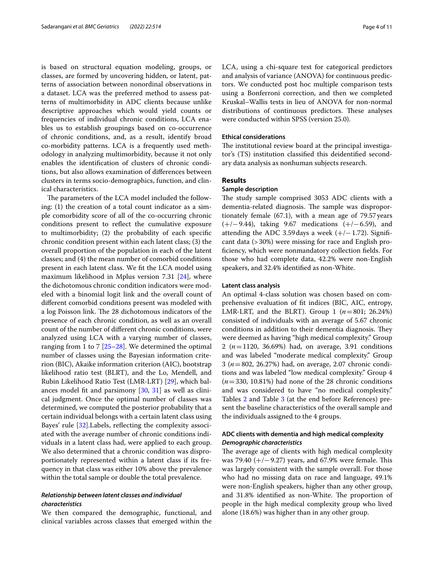is based on structural equation modeling, groups, or classes, are formed by uncovering hidden, or latent, patterns of association between nonordinal observations in a dataset. LCA was the preferred method to assess patterns of multimorbidity in ADC clients because unlike descriptive approaches which would yield counts or frequencies of individual chronic conditions, LCA enables us to establish groupings based on co-occurrence of chronic conditions, and, as a result, identify broad co-morbidity patterns. LCA is a frequently used methodology in analyzing multimorbidity, because it not only enables the identifcation of clusters of chronic conditions, but also allows examination of diferences between clusters in terms socio-demographics, function, and clinical characteristics.

The parameters of the LCA model included the following: (1) the creation of a total count indicator as a simple comorbidity score of all of the co-occurring chronic conditions present to refect the cumulative exposure to multimorbidity; (2) the probability of each specifc chronic condition present within each latent class; (3) the overall proportion of the population in each of the latent classes; and (4) the mean number of comorbid conditions present in each latent class. We ft the LCA model using maximum likelihood in Mplus version 7.31 [[24](#page-9-22)], where the dichotomous chronic condition indicators were modeled with a binomial logit link and the overall count of diferent comorbid conditions present was modeled with a log Poisson link. The 28 dichotomous indicators of the presence of each chronic condition, as well as an overall count of the number of diferent chronic conditions, were analyzed using LCA with a varying number of classes, ranging from 1 to 7 [[25–](#page-9-23)[28\]](#page-9-24). We determined the optimal number of classes using the Bayesian information criterion (BIC), Akaike information criterion (AIC), bootstrap likelihood ratio test (BLRT), and the Lo, Mendell, and Rubin Likelihood Ratio Test (LMR-LRT) [\[29](#page-9-25)], which balances model ft and parsimony [\[30,](#page-9-26) [31\]](#page-9-27) as well as clinical judgment. Once the optimal number of classes was determined, we computed the posterior probability that a certain individual belongs with a certain latent class using Bayes' rule [\[32\]](#page-9-28). Labels, reflecting the complexity associated with the average number of chronic conditions individuals in a latent class had, were applied to each group. We also determined that a chronic condition was disproportionately represented within a latent class if its frequency in that class was either 10% above the prevalence within the total sample or double the total prevalence.

## *Relationship between latent classes and individual characteristics*

We then compared the demographic, functional, and clinical variables across classes that emerged within the LCA, using a chi-square test for categorical predictors and analysis of variance (ANOVA) for continuous predictors. We conducted post hoc multiple comparison tests using a Bonferroni correction, and then we completed Kruskal–Wallis tests in lieu of ANOVA for non-normal distributions of continuous predictors. These analyses were conducted within SPSS (version 25.0).

## **Ethical considerations**

The institutional review board at the principal investigator's (TS) institution classifed this deidentifed secondary data analysis as nonhuman subjects research.

#### **Results**

#### **Sample description**

The study sample comprised 3053 ADC clients with a dementia-related diagnosis. The sample was disproportionately female (67.1), with a mean age of 79.57years (+/−9.44), taking 9.67 medications (+/−6.59), and attending the ADC 3.59 days a week  $(+/-1.72)$ . Significant data (>30%) were missing for race and English profciency, which were nonmandatory collection felds. For those who had complete data, 42.2% were non-English speakers, and 32.4% identifed as non-White.

## **Latent class analysis**

An optimal 4-class solution was chosen based on comprehensive evaluation of ft indices (BIC, AIC, entropy, LMR-LRT, and the BLRT). Group 1 (*n*=801; 26.24%) consisted of individuals with an average of 5.67 chronic conditions in addition to their dementia diagnosis. They were deemed as having "high medical complexity." Group 2 (*n*=1120, 36.69%) had, on average, 3.91 conditions and was labeled "moderate medical complexity." Group 3 (*n*=802, 26.27%) had, on average, 2.07 chronic conditions and was labeled "low medical complexity." Group 4 (*n*=330, 10.81%) had none of the 28 chronic conditions and was considered to have "no medical complexity." Tables [2](#page-4-0) and Table [3](#page-5-0) (at the end before References) present the baseline characteristics of the overall sample and the individuals assigned to the 4 groups.

## **ADC clients with dementia and high medical complexity** *Demographic characteristics*

The average age of clients with high medical complexity was 79.40  $(+/- 9.27)$  years, and 67.9% were female. This was largely consistent with the sample overall. For those who had no missing data on race and language, 49.1% were non-English speakers, higher than any other group, and 31.8% identified as non-White. The proportion of people in the high medical complexity group who lived alone (18.6%) was higher than in any other group.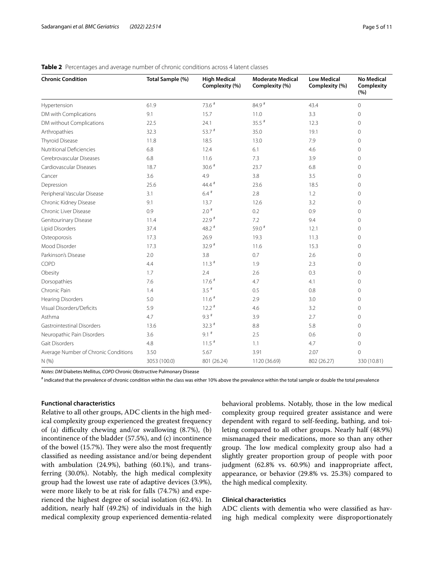| <b>Chronic Condition</b>             | Total Sample (%) | <b>High Medical</b><br>Complexity (%) | <b>Moderate Medical</b><br>Complexity (%) | <b>Low Medical</b><br>Complexity (%) | <b>No Medical</b><br>Complexity<br>(%) |
|--------------------------------------|------------------|---------------------------------------|-------------------------------------------|--------------------------------------|----------------------------------------|
| Hypertension                         | 61.9             | 73.6 #                                | 84.9 #                                    | 43.4                                 | $\mathbf 0$                            |
| DM with Complications                | 9.1              | 15.7                                  | 11.0                                      | 3.3                                  | 0                                      |
| DM without Complications             | 22.5             | 24.1                                  | $35.5$ #                                  | 12.3                                 | 0                                      |
| Arthropathies                        | 32.3             | $53.7$ #                              | 35.0                                      | 19.1                                 | 0                                      |
| Thyroid Disease                      | 11.8             | 18.5                                  | 13.0                                      | 7.9                                  | 0                                      |
| Nutritional Deficiencies             | 6.8              | 12.4                                  | 6.1                                       | 4.6                                  | 0                                      |
| Cerebrovascular Diseases             | 6.8              | 11.6                                  | 7.3                                       | 3.9                                  | 0                                      |
| Cardiovascular Diseases              | 18.7             | $30.6$ #                              | 23.7                                      | 6.8                                  | 0                                      |
| Cancer                               | 3.6              | 4.9                                   | 3.8                                       | 3.5                                  | 0                                      |
| Depression                           | 25.6             | $44.4$ <sup>#</sup>                   | 23.6                                      | 18.5                                 | 0                                      |
| Peripheral Vascular Disease          | 3.1              | $6.4$ <sup>#</sup>                    | 2.8                                       | 1.2                                  | 0                                      |
| Chronic Kidney Disease               | 9.1              | 13.7                                  | 12.6                                      | 3.2                                  | 0                                      |
| Chronic Liver Disease                | 0.9              | $2.0*$                                | 0.2                                       | 0.9                                  | 0                                      |
| Genitourinary Disease                | 11.4             | $22.9$ <sup>#</sup>                   | 7.2                                       | 9.4                                  | $\mathbf{0}$                           |
| Lipid Disorders                      | 37.4             | 48.2 $#$                              | 59.0 $#$                                  | 12.1                                 | 0                                      |
| Osteoporosis                         | 17.3             | 26.9                                  | 19.3                                      | 11.3                                 | 0                                      |
| Mood Disorder                        | 17.3             | $32.9$ #                              | 11.6                                      | 15.3                                 | 0                                      |
| Parkinson's Disease                  | 2.0              | 3.8                                   | 0.7                                       | 2.6                                  | 0                                      |
| COPD                                 | 4.4              | $11.3$ <sup>#</sup>                   | 1.9                                       | 2.3                                  | 0                                      |
| Obesity                              | 1.7              | 2.4                                   | 2.6                                       | 0.3                                  | 0                                      |
| Dorsopathies                         | 7.6              | $17.6$ #                              | 4.7                                       | 4.1                                  | $\Omega$                               |
| Chronic Pain                         | 1.4              | $3.5$ #                               | 0.5                                       | 0.8                                  | 0                                      |
| <b>Hearing Disorders</b>             | 5.0              | $11.6$ <sup>#</sup>                   | 2.9                                       | 3.0                                  | 0                                      |
| Visual Disorders/Deficits            | 5.9              | $12.2$ #                              | 4.6                                       | 3.2                                  | 0                                      |
| Asthma                               | 4.7              | $9.3$ <sup>#</sup>                    | 3.9                                       | 2.7                                  | 0                                      |
| Gastrointestinal Disorders           | 13.6             | $32.3$ #                              | 8.8                                       | 5.8                                  | 0                                      |
| Neuropathic Pain Disorders           | 3.6              | $9.1$ <sup>#</sup>                    | 2.5                                       | 0.6                                  | 0                                      |
| Gait Disorders                       | 4.8              | $11.5$ #                              | 1.1                                       | 4.7                                  | 0                                      |
| Average Number of Chronic Conditions | 3.50             | 5.67                                  | 3.91                                      | 2.07                                 | 0                                      |
| N(% )                                | 3053 (100.0)     | 801 (26.24)                           | 1120 (36.69)                              | 802 (26.27)                          | 330 (10.81)                            |

## <span id="page-4-0"></span>**Table 2** Percentages and average number of chronic conditions across 4 latent classes

*Notes*: *DM* Diabetes Mellitus, *COPD* Chronic Obstructive Pulmonary Disease

# indicated that the prevalence of chronic condition within the class was either 10% above the prevalence within the total sample or double the total prevalence

## **Functional characteristics**

Relative to all other groups, ADC clients in the high medical complexity group experienced the greatest frequency of (a) difficulty chewing and/or swallowing  $(8.7\%)$ , (b) incontinence of the bladder (57.5%), and (c) incontinence of the bowel  $(15.7%)$ . They were also the most frequently classifed as needing assistance and/or being dependent with ambulation (24.9%), bathing (60.1%), and transferring (30.0%). Notably, the high medical complexity group had the lowest use rate of adaptive devices (3.9%), were more likely to be at risk for falls (74.7%) and experienced the highest degree of social isolation (62.4%). In addition, nearly half (49.2%) of individuals in the high medical complexity group experienced dementia-related behavioral problems. Notably, those in the low medical complexity group required greater assistance and were dependent with regard to self-feeding, bathing, and toileting compared to all other groups. Nearly half (48.9%) mismanaged their medications, more so than any other group. The low medical complexity group also had a slightly greater proportion group of people with poor judgment (62.8% vs. 60.9%) and inappropriate affect, appearance, or behavior (29.8% vs. 25.3%) compared to the high medical complexity.

## **Clinical characteristics**

ADC clients with dementia who were classifed as having high medical complexity were disproportionately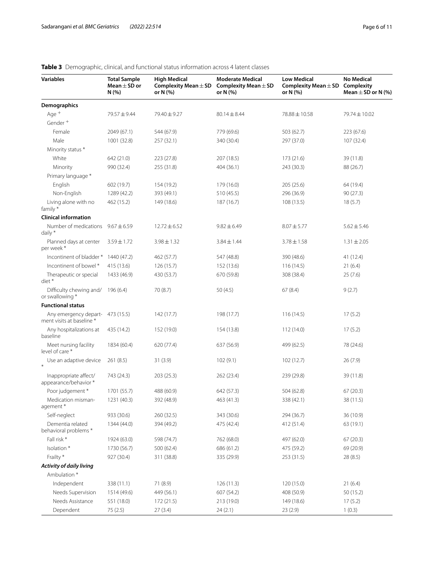| <b>Variables</b>                                              | <b>Total Sample</b><br>Mean $\pm$ SD or<br>N(% ) | <b>High Medical</b><br>Complexity Mean $\pm$ SD<br>or N (%) | <b>Moderate Medical</b><br>Complexity Mean $\pm$ SD<br>or N (%) | <b>Low Medical</b><br>Complexity Mean $\pm$ SD<br>or N (%) | <b>No Medical</b><br>Complexity<br>Mean $\pm$ SD or N (%) |
|---------------------------------------------------------------|--------------------------------------------------|-------------------------------------------------------------|-----------------------------------------------------------------|------------------------------------------------------------|-----------------------------------------------------------|
| Demographics                                                  |                                                  |                                                             |                                                                 |                                                            |                                                           |
| Age +                                                         | 79.57 ± 9.44                                     | 79.40 ± 9.27                                                | $80.14 \pm 8.44$                                                | 78.88 ± 10.58                                              | 79.74 ± 10.02                                             |
| Gender <sup>+</sup>                                           |                                                  |                                                             |                                                                 |                                                            |                                                           |
| Female                                                        | 2049 (67.1)                                      | 544 (67.9)                                                  | 779 (69.6)                                                      | 503 (62.7)                                                 | 223 (67.6)                                                |
| Male                                                          | 1001 (32.8)                                      | 257 (32.1)                                                  | 340 (30.4)                                                      | 297 (37.0)                                                 | 107 (32.4)                                                |
| Minority status *                                             |                                                  |                                                             |                                                                 |                                                            |                                                           |
| White                                                         | 642 (21.0)                                       | 223 (27.8)                                                  | 207 (18.5)                                                      | 173 (21.6)                                                 | 39 (11.8)                                                 |
| Minority                                                      | 990 (32.4)                                       | 255 (31.8)                                                  | 404 (36.1)                                                      | 243 (30.3)                                                 | 88 (26.7)                                                 |
| Primary language *                                            |                                                  |                                                             |                                                                 |                                                            |                                                           |
| English                                                       | 602 (19.7)                                       | 154 (19.2)                                                  | 179 (16.0)                                                      | 205 (25.6)                                                 | 64 (19.4)                                                 |
| Non-English                                                   | 1289 (42.2)                                      | 393 (49.1)                                                  | 510 (45.5)                                                      | 296 (36.9)                                                 | 90(27.3)                                                  |
| Living alone with no<br>family*                               | 462 (15.2)                                       | 149 (18.6)                                                  | 187 (16.7)                                                      | 108(13.5)                                                  | 18(5.7)                                                   |
| <b>Clinical information</b>                                   |                                                  |                                                             |                                                                 |                                                            |                                                           |
| Number of medications<br>daily $*$                            | $9.67 \pm 6.59$                                  | $12.72 \pm 6.52$                                            | $9.82 \pm 6.49$                                                 | $8.07 \pm 5.77$                                            | $5.62 \pm 5.46$                                           |
| Planned days at center<br>per week*                           | $3.59 \pm 1.72$                                  | $3.98 \pm 1.32$                                             | $3.84 \pm 1.44$                                                 | $3.78 \pm 1.58$                                            | $1.31 \pm 2.05$                                           |
| Incontinent of bladder *                                      | 1440 (47.2)                                      | 462 (57.7)                                                  | 547 (48.8)                                                      | 390 (48.6)                                                 | 41 (12.4)                                                 |
| Incontinent of bowel *                                        | 415 (13.6)                                       | 126 (15.7)                                                  | 152 (13.6)                                                      | 116(14.5)                                                  | 21(6.4)                                                   |
| Therapeutic or special<br>diet *                              | 1433 (46.9)                                      | 430 (53.7)                                                  | 670 (59.8)                                                      | 308 (38.4)                                                 | 25(7.6)                                                   |
| Difficulty chewing and/<br>or swallowing *                    | 196 (6.4)                                        | 70 (8.7)                                                    | 50 (4.5)                                                        | 67(8.4)                                                    | 9(2.7)                                                    |
| <b>Functional status</b>                                      |                                                  |                                                             |                                                                 |                                                            |                                                           |
| Any emergency depart- 473 (15.5)<br>ment visits at baseline * |                                                  | 142 (17.7)                                                  | 198 (17.7)                                                      | 116(14.5)                                                  | 17(5.2)                                                   |
| Any hospitalizations at<br>baseline                           | 435 (14.2)                                       | 152 (19.0)                                                  | 154 (13.8)                                                      | 112(14.0)                                                  | 17(5.2)                                                   |
| Meet nursing facility<br>level of care *                      | 1834 (60.4)                                      | 620 (77.4)                                                  | 637 (56.9)                                                      | 499 (62.5)                                                 | 78 (24.6)                                                 |
| Use an adaptive device                                        | 261(8.5)                                         | 31(3.9)                                                     | 102(9.1)                                                        | 102(12.7)                                                  | 26(7.9)                                                   |
| Inappropriate affect/<br>appearance/behavior *                | 743 (24.3)                                       | 203 (25.3)                                                  | 262 (23.4)                                                      | 239 (29.8)                                                 | 39 (11.8)                                                 |
| Poor judgement *                                              | 1701 (55.7)                                      | 488 (60.9)                                                  | 642 (57.3)                                                      | 504 (62.8)                                                 | 67 (20.3)                                                 |
| Medication misman-<br>agement*                                | 1231 (40.3)                                      | 392 (48.9)                                                  | 463 (41.3)                                                      | 338 (42.1)                                                 | 38 (11.5)                                                 |
| Self-neglect                                                  | 933 (30.6)                                       | 260 (32.5)                                                  | 343 (30.6)                                                      | 294 (36.7)                                                 | 36 (10.9)                                                 |
| Dementia related<br>behavioral problems *                     | 1344 (44.0)                                      | 394 (49.2)                                                  | 475 (42.4)                                                      | 412 (51.4)                                                 | 63 (19.1)                                                 |
| Fall risk *                                                   | 1924 (63.0)                                      | 598 (74.7)                                                  | 762 (68.0)                                                      | 497 (62.0)                                                 | 67(20.3)                                                  |
| Isolation*                                                    | 1730 (56.7)                                      | 500 (62.4)                                                  | 686 (61.2)                                                      | 475 (59.2)                                                 | 69 (20.9)                                                 |
| Frailty *                                                     | 927 (30.4)                                       | 311 (38.8)                                                  | 335 (29.9)                                                      | 253 (31.5)                                                 | 28 (8.5)                                                  |
| Activity of daily living<br>Ambulation *                      |                                                  |                                                             |                                                                 |                                                            |                                                           |
| Independent                                                   | 338 (11.1)                                       | 71 (8.9)                                                    | 126(11.3)                                                       | 120 (15.0)                                                 | 21(6.4)                                                   |
| Needs Supervision                                             | 1514 (49.6)                                      | 449 (56.1)                                                  | 607 (54.2)                                                      | 408 (50.9)                                                 | 50 (15.2)                                                 |
| Needs Assistance                                              | 551 (18.0)                                       | 172 (21.5)                                                  | 213 (19.0)                                                      | 149 (18.6)                                                 | 17(5.2)                                                   |
| Dependent                                                     | 75 (2.5)                                         | 27(3.4)                                                     | 24(2.1)                                                         | 23(2.9)                                                    | 1(0.3)                                                    |

# <span id="page-5-0"></span>**Table 3** Demographic, clinical, and functional status information across 4 latent classes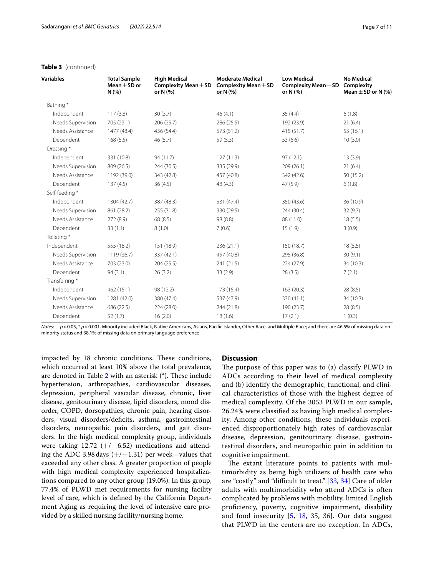| Variables         | <b>Total Sample</b><br>Mean $\pm$ SD or<br>N(%) | <b>High Medical</b><br>Complexity Mean $\pm$ SD<br>or N (%) | <b>Moderate Medical</b><br>Complexity Mean $\pm$ SD<br>or N (%) | <b>Low Medical</b><br>Complexity Mean $\pm$ SD<br>or N (%) | <b>No Medical</b><br>Complexity<br>Mean $\pm$ SD or N (%) |
|-------------------|-------------------------------------------------|-------------------------------------------------------------|-----------------------------------------------------------------|------------------------------------------------------------|-----------------------------------------------------------|
| Bathing*          |                                                 |                                                             |                                                                 |                                                            |                                                           |
| Independent       | 117(3.8)                                        | 30(3.7)                                                     | 46(4.1)                                                         | 35(4.4)                                                    | 6(1.8)                                                    |
| Needs Supervision | 705 (23.1)                                      | 206(25.7)                                                   | 286 (25.5)                                                      | 192 (23.9)                                                 | 21(6.4)                                                   |
| Needs Assistance  | 1477 (48.4)                                     | 436 (54.4)                                                  | 573 (51.2)                                                      | 415(51.7)                                                  | 53 (16.1)                                                 |
| Dependent         | 168(5.5)                                        | 46(5.7)                                                     | 59(5.3)                                                         | 53 (6.6)                                                   | 10(3.0)                                                   |
| Dressing*         |                                                 |                                                             |                                                                 |                                                            |                                                           |
| Independent       | 331 (10.8)                                      | 94 (11.7)                                                   | 127(11.3)                                                       | 97(12.1)                                                   | 13(3.9)                                                   |
| Needs Supervision | 809 (26.5)                                      | 244 (30.5)                                                  | 335 (29.9)                                                      | 209 (26.1)                                                 | 21(6.4)                                                   |
| Needs Assistance  | 1192 (39.0)                                     | 343 (42.8)                                                  | 457 (40.8)                                                      | 342 (42.6)                                                 | 50 (15.2)                                                 |
| Dependent         | 137(4.5)                                        | 36(4.5)                                                     | 48 (4.3)                                                        | 47(5.9)                                                    | 6(1.8)                                                    |
| Self-feeding *    |                                                 |                                                             |                                                                 |                                                            |                                                           |
| Independent       | 1304 (42.7)                                     | 387 (48.3)                                                  | 531 (47.4)                                                      | 350 (43.6)                                                 | 36 (10.9)                                                 |
| Needs Supervision | 861 (28.2)                                      | 255 (31.8)                                                  | 330 (29.5)                                                      | 244 (30.4)                                                 | 32(9.7)                                                   |
| Needs Assistance  | 272(8.9)                                        | 68 (8.5)                                                    | 98 (8.8)                                                        | 88 (11.0)                                                  | 18(5.5)                                                   |
| Dependent         | 33(1.1)                                         | 8(1.0)                                                      | 7(0.6)                                                          | 15(1.9)                                                    | 3(0.9)                                                    |
| Toileting*        |                                                 |                                                             |                                                                 |                                                            |                                                           |
| Independent       | 555 (18.2)                                      | 151 (18.9)                                                  | 236(21.1)                                                       | 150 (18.7)                                                 | 18(5.5)                                                   |
| Needs Supervision | 1119 (36.7)                                     | 337 (42.1)                                                  | 457 (40.8)                                                      | 295 (36.8)                                                 | 30(9.1)                                                   |
| Needs Assistance  | 703 (23.0)                                      | 204(25.5)                                                   | 241 (21.5)                                                      | 224(27.9)                                                  | 34 (10.3)                                                 |
| Dependent         | 94(3.1)                                         | 26(3.2)                                                     | 33(2.9)                                                         | 28(3.5)                                                    | 7(2.1)                                                    |
| Transferring *    |                                                 |                                                             |                                                                 |                                                            |                                                           |
| Independent       | 462(15.1)                                       | 98 (12.2)                                                   | 173 (15.4)                                                      | 163(20.3)                                                  | 28(8.5)                                                   |
| Needs Supervision | 1281 (42.0)                                     | 380 (47.4)                                                  | 537 (47.9)                                                      | 330 (41.1)                                                 | 34 (10.3)                                                 |
| Needs Assistance  | 686 (22.5)                                      | 224 (28.0)                                                  | 244 (21.8)                                                      | 190 (23.7)                                                 | 28 (8.5)                                                  |
| Dependent         | 52(1.7)                                         | 16(2.0)                                                     | 18(1.6)                                                         | 17(2.1)                                                    | 1(0.3)                                                    |

## **Table 3** (continued)

*Notes*:  $+p$  <0.05, \* *p* <0.001. Minority included Black, Native Americans, Asians, Pacific Islander, Other Race, and Multiple Race; and there are 46.5% of missing data on minority status and 38.1% of missing data on primary language preference

impacted by 18 chronic conditions. These conditions, which occurred at least 10% above the total prevalence, are denoted in Table  $2$  with an asterisk  $(*)$ . These include hypertension, arthropathies, cardiovascular diseases, depression, peripheral vascular disease, chronic, liver disease, genitourinary disease, lipid disorders, mood disorder, COPD, dorsopathies, chronic pain, hearing disorders, visual disorders/deficits, asthma, gastrointestinal disorders, neuropathic pain disorders, and gait disorders. In the high medical complexity group, individuals were taking 12.72  $(+/-6.52)$  medications and attending the ADC 3.98 days  $(+/-1.31)$  per week—values that exceeded any other class. A greater proportion of people with high medical complexity experienced hospitalizations compared to any other group (19.0%). In this group, 77.4% of PLWD met requirements for nursing facility level of care, which is defned by the California Department Aging as requiring the level of intensive care provided by a skilled nursing facility/nursing home.

## **Discussion**

The purpose of this paper was to (a) classify PLWD in ADCs according to their level of medical complexity and (b) identify the demographic, functional, and clinical characteristics of those with the highest degree of medical complexity. Of the 3053 PLWD in our sample, 26.24% were classifed as having high medical complexity. Among other conditions, these individuals experienced disproportionately high rates of cardiovascular disease, depression, genitourinary disease, gastrointestinal disorders, and neuropathic pain in addition to cognitive impairment.

The extant literature points to patients with multimorbidity as being high utilizers of health care who are "costly" and "difficult to treat." [[33,](#page-9-29) [34\]](#page-9-30) Care of older adults with multimorbidity who attend ADCs is often complicated by problems with mobility, limited English profciency, poverty, cognitive impairment, disability and food insecurity [[5,](#page-9-3) [18,](#page-9-16) [35,](#page-9-31) [36\]](#page-9-32). Our data suggest that PLWD in the centers are no exception. In ADCs,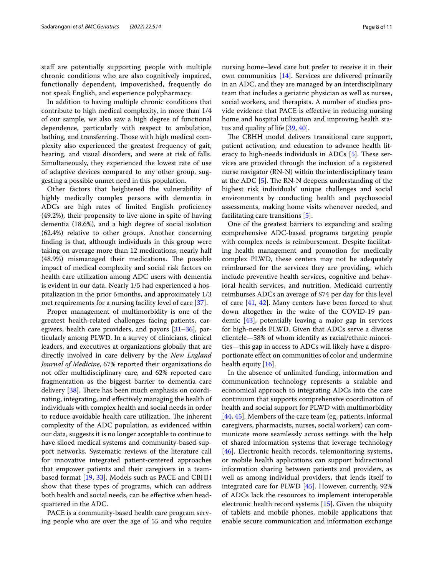staff are potentially supporting people with multiple chronic conditions who are also cognitively impaired, functionally dependent, impoverished, frequently do not speak English, and experience polypharmacy.

In addition to having multiple chronic conditions that contribute to high medical complexity, in more than 1/4 of our sample, we also saw a high degree of functional dependence, particularly with respect to ambulation, bathing, and transferring. Those with high medical complexity also experienced the greatest frequency of gait, hearing, and visual disorders, and were at risk of falls. Simultaneously, they experienced the lowest rate of use of adaptive devices compared to any other group, suggesting a possible unmet need in this population.

Other factors that heightened the vulnerability of highly medically complex persons with dementia in ADCs are high rates of limited English profciency (49.2%), their propensity to live alone in spite of having dementia (18.6%), and a high degree of social isolation (62.4%) relative to other groups. Another concerning fnding is that, although individuals in this group were taking on average more than 12 medications, nearly half (48.9%) mismanaged their medications. The possible impact of medical complexity and social risk factors on health care utilization among ADC users with dementia is evident in our data. Nearly 1/5 had experienced a hospitalization in the prior 6months, and approximately 1/3 met requirements for a nursing facility level of care [\[37\]](#page-9-33).

Proper management of multimorbidity is one of the greatest health-related challenges facing patients, caregivers, health care providers, and payors [[31–](#page-9-27)[36\]](#page-9-32), particularly among PLWD. In a survey of clinicians, clinical leaders, and executives at organizations globally that are directly involved in care delivery by the *New England Journal of Medicine*, 67% reported their organizations do not offer multidisciplinary care, and 62% reported care fragmentation as the biggest barrier to dementia care delivery  $[38]$  $[38]$ . There has been much emphasis on coordinating, integrating, and efectively managing the health of individuals with complex health and social needs in order to reduce avoidable health care utilization. The inherent complexity of the ADC population, as evidenced within our data, suggests it is no longer acceptable to continue to have siloed medical systems and community-based support networks. Systematic reviews of the literature call for innovative integrated patient-centered approaches that empower patients and their caregivers in a teambased format [\[19,](#page-9-17) [33](#page-9-29)]. Models such as PACE and CBHH show that these types of programs, which can address both health and social needs, can be efective when headquartered in the ADC.

PACE is a community-based health care program serving people who are over the age of 55 and who require nursing home–level care but prefer to receive it in their own communities [[14](#page-9-12)]. Services are delivered primarily in an ADC, and they are managed by an interdisciplinary team that includes a geriatric physician as well as nurses, social workers, and therapists. A number of studies provide evidence that PACE is efective in reducing nursing home and hospital utilization and improving health status and quality of life [[39](#page-9-35), [40\]](#page-9-36).

The CBHH model delivers transitional care support, patient activation, and education to advance health literacy to high-needs individuals in ADCs  $[5]$  $[5]$ . These services are provided through the inclusion of a registered nurse navigator (RN-N) within the interdisciplinary team at the ADC  $[5]$  $[5]$ . The RN-N deepens understanding of the highest risk individuals' unique challenges and social environments by conducting health and psychosocial assessments, making home visits whenever needed, and facilitating care transitions [\[5](#page-9-3)].

One of the greatest barriers to expanding and scaling comprehensive ADC-based programs targeting people with complex needs is reimbursement. Despite facilitating health management and promotion for medically complex PLWD, these centers may not be adequately reimbursed for the services they are providing, which include preventive health services, cognitive and behavioral health services, and nutrition. Medicaid currently reimburses ADCs an average of \$74 per day for this level of care [\[41,](#page-9-37) [42](#page-9-38)]. Many centers have been forced to shut down altogether in the wake of the COVID-19 pandemic [\[43](#page-9-39)], potentially leaving a major gap in services for high-needs PLWD. Given that ADCs serve a diverse clientele—58% of whom identify as racial/ethnic minorities—this gap in access to ADCs will likely have a disproportionate efect on communities of color and undermine health equity [[16](#page-9-14)].

In the absence of unlimited funding, information and communication technology represents a scalable and economical approach to integrating ADCs into the care continuum that supports comprehensive coordination of health and social support for PLWD with multimorbidity [[44,](#page-9-40) [45](#page-10-0)]. Members of the care team (eg, patients, informal caregivers, pharmacists, nurses, social workers) can communicate more seamlessly across settings with the help of shared information systems that leverage technology [[46\]](#page-10-1). Electronic health records, telemonitoring systems, or mobile health applications can support bidirectional information sharing between patients and providers, as well as among individual providers, that lends itself to integrated care for PLWD [\[45](#page-10-0)]. However, currently, 92% of ADCs lack the resources to implement interoperable electronic health record systems [[15\]](#page-9-13). Given the ubiquity of tablets and mobile phones, mobile applications that enable secure communication and information exchange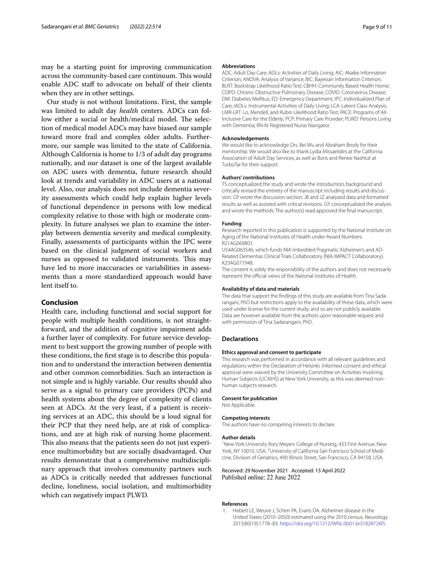may be a starting point for improving communication across the community-based care continuum. This would enable ADC staf to advocate on behalf of their clients when they are in other settings.

Our study is not without limitations. First, the sample was limited to adult day *health* centers. ADCs can follow either a social or health/medical model. The selection of medical model ADCs may have biased our sample toward more frail and complex older adults. Furthermore, our sample was limited to the state of California. Although California is home to 1/3 of adult day programs nationally, and our dataset is one of the largest available on ADC users with dementia, future research should look at trends and variability in ADC users at a national level. Also, our analysis does not include dementia severity assessments which could help explain higher levels of functional dependence in persons with low medical complexity relative to those with high or moderate complexity. In future analyses we plan to examine the interplay between dementia severity and medical complexity. Finally, assessments of participants within the IPC were based on the clinical judgment of social workers and nurses as opposed to validated instruments. This may have led to more inaccuracies or variabilities in assessments than a more standardized approach would have lent itself to.

## **Conclusion**

Health care, including functional and social support for people with multiple health conditions, is not straightforward, and the addition of cognitive impairment adds a further layer of complexity. For future service development to best support the growing number of people with these conditions, the frst stage is to describe this population and to understand the interaction between dementia and other common comorbidities. Such an interaction is not simple and is highly variable. Our results should also serve as a signal to primary care providers (PCPs) and health systems about the degree of complexity of clients seen at ADCs. At the very least, if a patient is receiving services at an ADC, this should be a loud signal for their PCP that they need help, are at risk of complications, and are at high risk of nursing home placement. This also means that the patients seen do not just experience multimorbidity but are socially disadvantaged. Our results demonstrate that a comprehensive multidisciplinary approach that involves community partners such as ADCs is critically needed that addresses functional decline, loneliness, social isolation, and multimorbidity which can negatively impact PLWD.

#### **Abbreviations**

ADC: Adult Day Care; ADLs: Activities of Daily Living; AIC: Akaike Information Criterion; ANOVA: Analysis of Variance; BIC: Bayesian Information Criterion; BLRT: Bootstrap Likelihood Ratio Test; CBHH: Community Based Health Home; COPD: Chronic Obstructive Pulmonary Disease; COVID: Coronavirus Disease; DM: Diabetes Mellitus; ED: Emergency Department; IPC: Individualized Plan of Care; IADLs: Instrumental Activities of Daily Living; LCA: Latent Class Analysis; LMR-LRT: Lo, Mendell, and Rubin Likelihood Ratio Test; PACE: Programs of All-Inclusive Care for the Elderly; PCP: Primary Care Provider; PLWD: Persons Living with Dementia: RN-N: Registered Nurse Navigator.

#### **Acknowledgements**

We would like to acknowledge Drs. Bei Wu and Abraham Brody for their mentorship. We would also like to thank Lydia Missaelides at the California Association of Adult Day Services, as well as Boris and Renee Nashtut at TurboTar for their support.

#### **Authors' contributions**

TS conceptualized the study and wrote the introduction, background and critically revised the entirety of the manuscript including results and discussion. CP wrote the discussion section. JB and JZ analyzed data and formatted results as well as assisted with critical revisions. GY conceptualized the analysis and wrote the methods. The author(s) read approved the final manuscript.

#### **Funding**

Research reported in this publication is supported by the National Institute on Aging of the National Institutes of Health under Award Numbers: R21AG069801.

U54AG063546, which funds NIA Imbedded Pragmatic Alzheimer's and AD-Related Dementias Clinical Trials Collaboratory (NIA IMPACT Collaboratory). K23AG071948.

The content is solely the responsibility of the authors and does not necessarily represent the official views of the National Institutes of Health.

#### **Availability of data and materials**

The data that support the fndings of this study are available from Tina Sadarangani, PhD but restrictions apply to the availability of these data, which were used under license for the current study, and so are not publicly available. Data are however available from the authors upon reasonable request and with permission of Tina Sadarangani, PhD.

#### **Declarations**

#### **Ethics approval and consent to participate**

This research was performed in accordance with all relevant guidelines and regulations within the Declaration of Helsinki. Informed consent and ethical approval were waived by the University Committee on Activities Involving Human Subjects (UCAIHS) at New York University, as this was deemed nonhuman subjects research.

#### **Consent for publication**

Not Applicable.

#### **Competing interests**

The authors have no competing interests to declare.

#### **Author details**

<sup>1</sup> New York University Rory Meyers College of Nursing, 433 First Avenue, New York, NY 10010, USA. <sup>2</sup> University of California San Francisco School of Medicine, Division of Geriatrics, 490 Illinois Street, San Francisco, CA 94158, USA.

#### Received: 29 November 2021 Accepted: 13 April 2022 Published online: 22 June 2022

#### **References**

<span id="page-8-0"></span>Hebert LE, Weuve J, Scherr PA, Evans DA. Alzheimer disease in the United States (2010–2050) estimated using the 2010 census. Neurology. 2013;80(19):1778–83.<https://doi.org/10.1212/WNL.0b013e31828726f5>.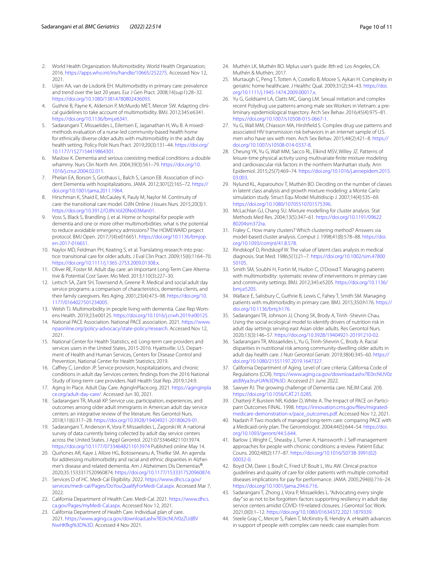- <span id="page-9-0"></span>2. World Health Organization. Multimorbidity. World Health Organization; 2016.<https://apps.who.int/iris/handle/10665/252275>. Accessed Nov 12, 2021.
- <span id="page-9-1"></span>3. Uijen AA, van de Lisdonk EH. Multimorbidity in primary care: prevalence and trend over the last 20 years. Eur J Gen Pract. 2008;14(sup1):28–32. [https://doi.org/10.1080/13814780802436093.](https://doi.org/10.1080/13814780802436093)
- <span id="page-9-2"></span>4. Guthrie B, Payne K, Alderson P, McMurdo MET, Mercer SW. Adapting clinical guidelines to take account of multimorbidity. BMJ. 2012;345:e6341. [https://doi.org/10.1136/bmj.e6341.](https://doi.org/10.1136/bmj.e6341)
- <span id="page-9-3"></span>5. Sadarangani T, Missaelides L, Eilertsen E, Jaganathan H, Wu B. A mixedmethods evaluation of a nurse-led community-based health home for ethnically diverse older adults with multimorbidity in the adult day health setting. Policy Polit Nurs Pract. 2019;20(3):131–44. [https://doi.org/](https://doi.org/10.1177/1527154419864301) [10.1177/1527154419864301](https://doi.org/10.1177/1527154419864301).
- <span id="page-9-4"></span>6. Maslow K. Dementia and serious coexisting medical conditions: a double whammy. Nurs Clin North Am. 2004;39(3):561–79. [https://doi.org/10.](https://doi.org/10.1016/j.cnur.2004.02.011) [1016/j.cnur.2004.02.011.](https://doi.org/10.1016/j.cnur.2004.02.011)
- <span id="page-9-5"></span>7. Phelan EA, Borson S, Grothaus L, Balch S, Larson EB. Association of incident Dementia with hospitalizations. JAMA. 2012;307(2):165–72. [https://](https://doi.org/10.1001/jama.2011.1964) [doi.org/10.1001/jama.2011.1964.](https://doi.org/10.1001/jama.2011.1964)
- <span id="page-9-6"></span>8. Hirschman K, Shaid E, McCauley K, Pauly M, Naylor M. Continuity of care: the transitional care model. OJIN Online J Issues Nurs. 2015;20(3):1. <https://doi.org/10.3912/OJIN.Vol20No03Man01>.
- <span id="page-9-7"></span>9. Voss S, Black S, Brandling J, et al. Home or hospital for people with dementia and one or more other multimorbidities: what is the potential to reduce avoidable emergency admissions? The HOMEWARD project protocol. BMJ Open. 2017;7(4):e016651. [https://doi.org/10.1136/bmjop](https://doi.org/10.1136/bmjopen-2017-016651) [en-2017-016651](https://doi.org/10.1136/bmjopen-2017-016651).
- <span id="page-9-8"></span>10. Naylor MD, Feldman PH, Keating S, et al. Translating research into practice: transitional care for older adults. J Eval Clin Pract. 2009;15(6):1164–70. [https://doi.org/10.1111/j.1365-2753.2009.01308.x.](https://doi.org/10.1111/j.1365-2753.2009.01308.x)
- <span id="page-9-9"></span>11. Oliver RE, Foster M. Adult day care: an Important Long-Term Care Alternative & Potential Cost Saver. Mo Med. 2013;110(3):227–30.
- <span id="page-9-10"></span>12. Leitsch SA, Zarit SH, Townsend A, Greene R. Medical and social adult day service programs: a comparison of characteristics, dementia clients, and their family caregivers. Res Aging. 2001;23(4):473–98. [https://doi.org/10.](https://doi.org/10.1177/0164027501234005) [1177/0164027501234005.](https://doi.org/10.1177/0164027501234005)
- <span id="page-9-11"></span>13. Welsh TJ. Multimorbidity in people living with dementia. Case Rep Womens Health. 2019;23:e00125. [https://doi.org/10.1016/j.crwh.2019.e00125.](https://doi.org/10.1016/j.crwh.2019.e00125)
- <span id="page-9-12"></span>14. National PACE Association. National PACE association. 2021. [https://www.](https://www.npaonline.org/policy-advocacy/state-policy/research) [npaonline.org/policy-advocacy/state-policy/research](https://www.npaonline.org/policy-advocacy/state-policy/research). Accessed Nov 12, 2021.
- <span id="page-9-13"></span>15. National Center for Health Statistics, ed. Long-term care providers and services users in the United States, 2015-2016. Hyattsville: U.S. Department of Health and Human Services, Centers for Disease Control and Prevention, National Center for Health Statistics; 2019.
- <span id="page-9-14"></span>16. Cafrey C, Lendon JP. Service provision, hospitalizations, and chronic conditions in adult day Services centers: fndings from the 2016 National Study of long-term care providers. Natl Health Stat Rep. 2019;124:9.
- <span id="page-9-15"></span>17. Aging In Place. Adult Day Care. AgingInPlace.org. 2021. [https://aginginpla](https://aginginplace.org/adult-day-care/) [ce.org/adult-day-care/.](https://aginginplace.org/adult-day-care/) Accessed Jun 30, 2021.
- <span id="page-9-16"></span>18. Sadarangani TR, Murali KP. Service use, participation, experiences, and outcomes among older adult immigrants in American adult day service centers: an integrative review of the literature. Res Gerontol Nurs. 2018;11(6):317–28. <https://doi.org/10.3928/19404921-20180629-01>.
- <span id="page-9-17"></span>19. Sadarangani T, Anderson K, Vora P, Missaelides L, Zagorski W. A national survey of data currently being collected by adult day service centers across the United States. J Appl Gerontol. 2021:07334648211013974. <https://doi.org/10.1177/07334648211013974>Published online May 14.
- <span id="page-9-18"></span>20. Quiñones AR, Kaye J, Allore HG, Botoseneanu A, Thielke SM. An agenda for addressing multimorbidity and racial and ethnic disparities in Alzheimer's disease and related dementia. Am J Alzheimers Dis Dementias®. 2020;35:1533317520960874. <https://doi.org/10.1177/1533317520960874>.
- <span id="page-9-19"></span>21. Services D of HC. Medi-Cal Eligibility. 2022. [https://www.dhcs.ca.gov/](https://www.dhcs.ca.gov/services/medi-cal/Pages/DoYouQualifyForMedi-Cal.aspx) [services/medi-cal/Pages/DoYouQualifyForMedi-Cal.aspx.](https://www.dhcs.ca.gov/services/medi-cal/Pages/DoYouQualifyForMedi-Cal.aspx) Accessed Mar 7, 2022.
- <span id="page-9-20"></span>22. California Department of Health Care. Medi-Cal. 2021. [https://www.dhcs.](https://www.dhcs.ca.gov/Pages/myMedi-Cal.aspx) [ca.gov/Pages/myMedi-Cal.aspx.](https://www.dhcs.ca.gov/Pages/myMedi-Cal.aspx) Accessed Nov 12, 2021.
- <span id="page-9-21"></span>23. California Department of Health Care. Individual plan of care. 2021. [https://www.aging.ca.gov/download.ashx?lE0rcNUV0zZUdBV](https://www.aging.ca.gov/download.ashx?lE0rcNUV0zZUdBVNwHKfkg%3D%3D) [NwHKfkg%3D%3D.](https://www.aging.ca.gov/download.ashx?lE0rcNUV0zZUdBVNwHKfkg%3D%3D) Accessed 4 Nov 2021.
- <span id="page-9-22"></span>24. Muthén LK, Muthén BO. Mplus user's guide. 8th ed. Los Angeles, CA: Muthén & Muthén; 2017.
- <span id="page-9-23"></span>25. Murtaugh C, Peng T, Totten A, Costello B, Moore S, Aykan H. Complexity in geriatric home healthcare. J Healthc Qual. 2009;31(2):34–43. [https://doi.](https://doi.org/10.1111/j.1945-1474.2009.00017.x) [org/10.1111/j.1945-1474.2009.00017.x.](https://doi.org/10.1111/j.1945-1474.2009.00017.x)
- 26. Yu G, Goldsamt LA, Clatts MC, Giang LM. Sexual initiation and complex recent Polydrug use patterns among male sex Workers in Vietnam: a preliminary epidemiological trajectory. Arch Sex Behav. 2016;45(4):975–81. [https://doi.org/10.1007/s10508-015-0667-1.](https://doi.org/10.1007/s10508-015-0667-1)
- 27. Yu G, Wall MM, Chiasson MA, Hirshfeld S. Complex drug use patterns and associated HIV transmission risk behaviors in an internet sample of U.S. men who have sex with men. Arch Sex Behav. 2015;44(2):421–8. [https://](https://doi.org/10.1007/s10508-014-0337-8) [doi.org/10.1007/s10508-014-0337-8](https://doi.org/10.1007/s10508-014-0337-8).
- <span id="page-9-24"></span>28. Cheung YK, Yu G, Wall MM, Sacco RL, Elkind MSV, Willey JZ. Patterns of leisure-time physical activity using multivariate fnite mixture modeling and cardiovascular risk factors in the northern Manhattan study. Ann Epidemiol. 2015;25(7):469–74. [https://doi.org/10.1016/j.annepidem.2015.](https://doi.org/10.1016/j.annepidem.2015.03.003) [03.003](https://doi.org/10.1016/j.annepidem.2015.03.003).
- <span id="page-9-25"></span>29. Nylund KL, Asparouhov T, Muthén BO. Deciding on the number of classes in latent class analysis and growth mixture modeling: a Monte Carlo simulation study. Struct Equ Model Multidiscip J. 2007;14(4):535–69. [https://doi.org/10.1080/10705510701575396.](https://doi.org/10.1080/10705510701575396)
- <span id="page-9-26"></span>30. McLachlan GJ, Chang SU. Mixture modelling for cluster analysis. Stat Methods Med Res. 2004;13(5):347–61. [https://doi.org/10.1191/09622](https://doi.org/10.1191/0962280204sm372ra) [80204sm372ra.](https://doi.org/10.1191/0962280204sm372ra)
- <span id="page-9-27"></span>31. Fraley C. How many clusters? Which clustering method? Answers via model-based cluster analysis. Comput J. 1998;41(8):578–88. [https://doi.](https://doi.org/10.1093/comjnl/41.8.578) [org/10.1093/comjnl/41.8.578](https://doi.org/10.1093/comjnl/41.8.578).
- <span id="page-9-28"></span>32. Rindskopf D, Rindskopf W. The value of latent class analysis in medical diagnosis. Stat Med. 1986;5(1):21–7. [https://doi.org/10.1002/sim.47800](https://doi.org/10.1002/sim.4780050105) [50105](https://doi.org/10.1002/sim.4780050105).
- <span id="page-9-29"></span>33. Smith SM, Soubhi H, Fortin M, Hudon C, O'Dowd T. Managing patients with multimorbidity: systematic review of interventions in primary care and community settings. BMJ. 2012;345:e5205. [https://doi.org/10.1136/](https://doi.org/10.1136/bmj.e5205) [bmj.e5205](https://doi.org/10.1136/bmj.e5205).
- <span id="page-9-30"></span>34. Wallace E, Salisbury C, Guthrie B, Lewis C, Fahey T, Smith SM. Managing patients with multimorbidity in primary care. BMJ. 2015;350:h176. [https://](https://doi.org/10.1136/bmj.h176) [doi.org/10.1136/bmj.h176.](https://doi.org/10.1136/bmj.h176)
- <span id="page-9-31"></span>35. Sadarangani TR, Johnson JJ, Chong SK, Brody A, Trinh -Shevrin Chau. Using the social ecological model to identify drivers of nutrition risk in adult day settings serving east Asian older adults. Res Gerontol Nurs. 2020;13(3):146–57. <https://doi.org/10.3928/19404921-20191210-02>.
- <span id="page-9-32"></span>36. Sadarangani TR, Missaelides L, Yu G, Trinh-Shevrin C, Brody A. Racial disparities in nutritional risk among community-dwelling older adults in adult day health care. J Nutr Gerontol Geriatr. 2019;38(4):345–60. [https://](https://doi.org/10.1080/21551197.2019.1647327) [doi.org/10.1080/21551197.2019.1647327.](https://doi.org/10.1080/21551197.2019.1647327)
- <span id="page-9-33"></span>37. California Department of Aging. Level of care criteria: California Code of Regulations (CCR). [https://www.aging.ca.gov/download.ashx?lE0rcNUV0z](https://www.aging.ca.gov/download.ashx?lE0rcNUV0zatdWya3ruHJA%3D%3D) [atdWya3ruHJA%3D%3D.](https://www.aging.ca.gov/download.ashx?lE0rcNUV0zatdWya3ruHJA%3D%3D) Accessed 21 June 2022.
- <span id="page-9-34"></span>38. Sawyer RJ. The growing challenge of Dementia care. NEJM Catal. 2(9). <https://doi.org/10.1056/CAT.21.0285>.
- <span id="page-9-35"></span>39. Chatterji P, Burstein NR, Kidder D, White A. The Impact of PACE on Participant Outcomes FINAL. 1998. [https://innovation.cms.gov/fles/migrated](https://innovation.cms.gov/files/migrated-medicare-demonstration-x/pace_outcomes.pdf)[medicare-demonstration-x/pace\\_outcomes.pdf](https://innovation.cms.gov/files/migrated-medicare-demonstration-x/pace_outcomes.pdf). Accessed Nov 12, 2021.
- <span id="page-9-36"></span>40. Nadash P. Two models of managed long-term care: comparing PACE with a Medicaid-only plan. The Gerontologist. 2004;44(5):644–54. [https://doi.](https://doi.org/10.1093/geront/44.5.644) [org/10.1093/geront/44.5.644.](https://doi.org/10.1093/geront/44.5.644)
- <span id="page-9-37"></span>41. Barlow J, Wright C, Sheasby J, Turner A, Hainsworth J. Self-management approaches for people with chronic conditions: a review. Patient Educ Couns. 2002;48(2):177–87. [https://doi.org/10.1016/S0738-3991\(02\)](https://doi.org/10.1016/S0738-3991(02)00032-0) [00032-0.](https://doi.org/10.1016/S0738-3991(02)00032-0)
- <span id="page-9-38"></span>42. Boyd CM, Darer J, Boult C, Fried LP, Boult L, Wu AW. Clinical practice guidelines and quality of care for older patients with multiple comorbid diseases implications for pay for performance. JAMA. 2005;294(6):716–24. [https://doi.org/10.1001/jama.294.6.716.](https://doi.org/10.1001/jama.294.6.716)
- <span id="page-9-39"></span>43. Sadarangani T, Zhong J, Vora P, Missaelides L. "Advocating every single day" so as not to be forgotten: factors supporting resiliency in adult day service centers amidst COVID-19-related closures. J Gerontol Soc Work. 2021;0(0):1–12. [https://doi.org/10.1080/01634372.2021.1879339.](https://doi.org/10.1080/01634372.2021.1879339)
- <span id="page-9-40"></span>44. Steele Gray C, Mercer S, Palen T, McKinstry B, Hendry A. eHealth advances in support of people with complex care needs: case examples from